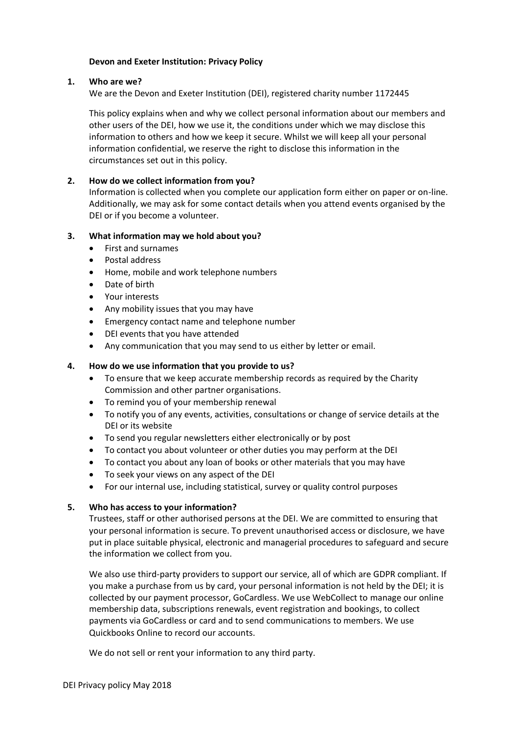## **Devon and Exeter Institution: Privacy Policy**

#### **1. Who are we?**

We are the Devon and Exeter Institution (DEI), registered charity number 1172445

This policy explains when and why we collect personal information about our members and other users of the DEI, how we use it, the conditions under which we may disclose this information to others and how we keep it secure. Whilst we will keep all your personal information confidential, we reserve the right to disclose this information in the circumstances set out in this policy.

# **2. How do we collect information from you?**

Information is collected when you complete our application form either on paper or on-line. Additionally, we may ask for some contact details when you attend events organised by the DEI or if you become a volunteer.

## **3. What information may we hold about you?**

- First and surnames
- Postal address
- Home, mobile and work telephone numbers
- Date of birth
- Your interests
- Any mobility issues that you may have
- Emergency contact name and telephone number
- DEI events that you have attended
- Any communication that you may send to us either by letter or email.

## **4. How do we use information that you provide to us?**

- To ensure that we keep accurate membership records as required by the Charity Commission and other partner organisations.
- To remind you of your membership renewal
- To notify you of any events, activities, consultations or change of service details at the DEI or its website
- To send you regular newsletters either electronically or by post
- To contact you about volunteer or other duties you may perform at the DEI
- To contact you about any loan of books or other materials that you may have
- To seek your views on any aspect of the DEI
- For our internal use, including statistical, survey or quality control purposes

#### **5. Who has access to your information?**

Trustees, staff or other authorised persons at the DEI. We are committed to ensuring that your personal information is secure. To prevent unauthorised access or disclosure, we have put in place suitable physical, electronic and managerial procedures to safeguard and secure the information we collect from you.

We also use third-party providers to support our service, all of which are GDPR compliant. If you make a purchase from us by card, your personal information is not held by the DEI; it is collected by our payment processor, GoCardless. We use WebCollect to manage our online membership data, subscriptions renewals, event registration and bookings, to collect payments via GoCardless or card and to send communications to members. We use Quickbooks Online to record our accounts.

We do not sell or rent your information to any third party.